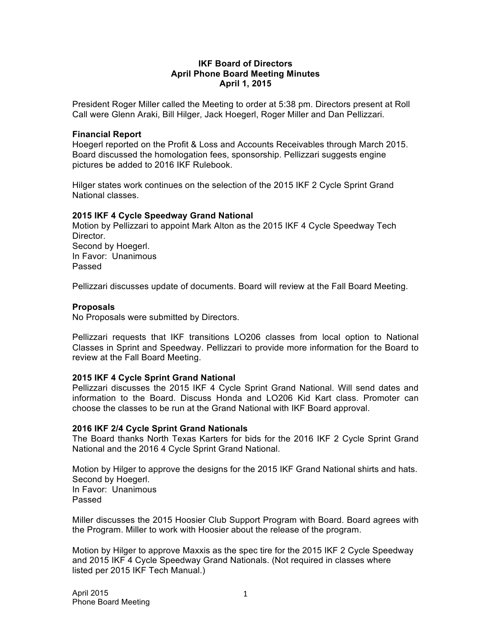#### **IKF Board of Directors April Phone Board Meeting Minutes April 1, 2015**

President Roger Miller called the Meeting to order at 5:38 pm. Directors present at Roll Call were Glenn Araki, Bill Hilger, Jack Hoegerl, Roger Miller and Dan Pellizzari.

#### **Financial Report**

Hoegerl reported on the Profit & Loss and Accounts Receivables through March 2015. Board discussed the homologation fees, sponsorship. Pellizzari suggests engine pictures be added to 2016 IKF Rulebook.

Hilger states work continues on the selection of the 2015 IKF 2 Cycle Sprint Grand National classes.

#### **2015 IKF 4 Cycle Speedway Grand National**

Motion by Pellizzari to appoint Mark Alton as the 2015 IKF 4 Cycle Speedway Tech **Director** Second by Hoegerl. In Favor: Unanimous Passed

Pellizzari discusses update of documents. Board will review at the Fall Board Meeting.

#### **Proposals**

No Proposals were submitted by Directors.

Pellizzari requests that IKF transitions LO206 classes from local option to National Classes in Sprint and Speedway. Pellizzari to provide more information for the Board to review at the Fall Board Meeting.

#### **2015 IKF 4 Cycle Sprint Grand National**

Pellizzari discusses the 2015 IKF 4 Cycle Sprint Grand National. Will send dates and information to the Board. Discuss Honda and LO206 Kid Kart class. Promoter can choose the classes to be run at the Grand National with IKF Board approval.

#### **2016 IKF 2/4 Cycle Sprint Grand Nationals**

The Board thanks North Texas Karters for bids for the 2016 IKF 2 Cycle Sprint Grand National and the 2016 4 Cycle Sprint Grand National.

Motion by Hilger to approve the designs for the 2015 IKF Grand National shirts and hats. Second by Hoegerl. In Favor: Unanimous Passed

Miller discusses the 2015 Hoosier Club Support Program with Board. Board agrees with the Program. Miller to work with Hoosier about the release of the program.

Motion by Hilger to approve Maxxis as the spec tire for the 2015 IKF 2 Cycle Speedway and 2015 IKF 4 Cycle Speedway Grand Nationals. (Not required in classes where listed per 2015 IKF Tech Manual.)